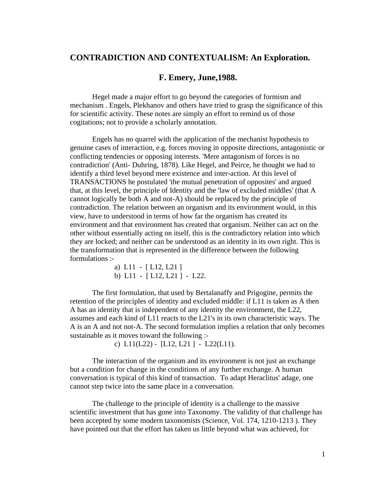## **CONTRADICTION AND CONTEXTUALISM: An Exploration.**

## **F. Emery, June,1988.**

Hegel made a major effort to go beyond the categories of formism and mechanism . Engels, Plekhanov and others have tried to grasp the significance of this for scientific activity. These notes are simply an effort to remind us of those cogitations; not to provide a scholarly annotation.

Engels has no quarrel with the application of the mechanist hypothesis to genuine cases of interaction, e.g. forces moving in opposite directions, antagonistic or conflicting tendencies or opposing interests. 'Mere antagonism of forces is no contradiction' (Anti- Duhring, 1878). Like Hegel, and Peirce, he thought we had to identify a third level beyond mere existence and inter-action. At this level of TRANSACTIONS he postulated 'the mutual penetration of opposites' and argued that, at this level, the principle of Identity and the 'law of excluded middles' (that A cannot logically be both A and not-A) should be replaced by the principle of contradiction. The relation between an organism and its environment would, in this view, have to understood in terms of how far the organism has created its environment and that environment has created that organism. Neither can act on the other without essentially acting on itself, this is the contradictory relation into which they are locked; and neither can be understood as an identity in its own right. This is the transformation that is represented in the difference between the following formulations :-

> a) L11 - [ L12, L21 ] b) L11 - [ L12, L21 ] - L22.

The first formulation, that used by Bertalanaffy and Prigogine, permits the retention of the principles of identity and excluded middle: if L11 is taken as A then A has an identity that is independent of any identity the environment, the L22, assumes and each kind of L11 reacts to the L21's in its own characteristic ways. The A is an A and not not-A. The second formulation implies a relation that only becomes sustainable as it moves toward the following :-

c)  $L11(L22) - [L12, L21] - L22(L11).$ 

The interaction of the organism and its environment is not just an exchange but a condition for change in the conditions of any further exchange. A human conversation is typical of this kind of transaction. To adapt Heraclitus' adage, one cannot step twice into the same place in a conversation.

The challenge to the principle of identity is a challenge to the massive scientific investment that has gone into Taxonomy. The validity of that challenge has been accepted by some modern taxonomists (Science, Vol. 174, 1210-1213 ). They have pointed out that the effort has taken us little beyond what was achieved, for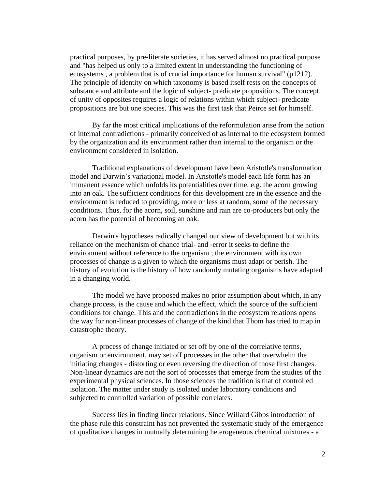practical purposes, by pre-literate societies, it has served almost no practical purpose and "has helped us only to a limited extent in understanding the functioning of ecosystems , a problem that is of crucial importance for human survival" (p1212). The principle of identity on which taxonomy is based itself rests on the concepts of substance and attribute and the logic of subject- predicate propositions. The concept of unity of opposites requires a logic of relations within which subject- predicate propositions are but one species. This was the first task that Peirce set for himself.

By far the most critical implications of the reformulation arise from the notion of internal contradictions - primarily conceived of as internal to the ecosystem formed by the organization and its environment rather than internal to the organism or the environment considered in isolation.

Traditional explanations of development have been Aristotle's transformation model and Darwin's variational model. In Aristotle's model each life form has an immanent essence which unfolds its potentialities over time, e.g. the acorn growing into an oak. The sufficient conditions for this development are in the essence and the environment is reduced to providing, more or less at random, some of the necessary conditions. Thus, for the acorn, soil, sunshine and rain are co-producers but only the acorn has the potential of becoming an oak.

Darwin's hypotheses radically changed our view of development but with its reliance on the mechanism of chance trial- and -error it seeks to define the environment without reference to the organism ; the environment with its own processes of change is a given to which the organisms must adapt or perish. The history of evolution is the history of how randomly mutating organisms have adapted in a changing world.

The model we have proposed makes no prior assumption about which, in any change process, is the cause and which the effect, which the source of the sufficient conditions for change. This and the contradictions in the ecosystem relations opens the way for non-linear processes of change of the kind that Thom has tried to map in catastrophe theory.

A process of change initiated or set off by one of the correlative terms, organism or environment, may set off processes in the other that overwhelm the initiating changes - distorting or even reversing the direction of those first changes. Non-linear dynamics are not the sort of processes that emerge from the studies of the experimental physical sciences. In those sciences the tradition is that of controlled isolation. The matter under study is isolated under laboratory conditions and subjected to controlled variation of possible correlates.

Success lies in finding linear relations. Since Willard Gibbs introduction of the phase rule this constraint has not prevented the systematic study of the emergence of qualitative changes in mutually determining heterogeneous chemical mixtures - a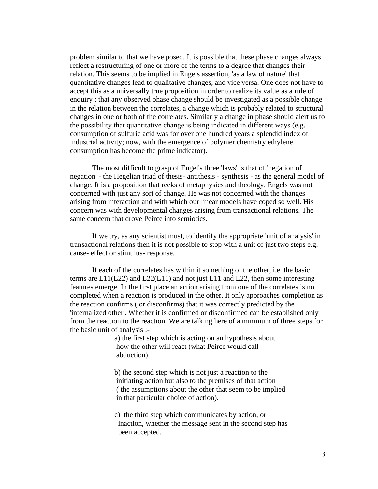problem similar to that we have posed. It is possible that these phase changes always reflect a restructuring of one or more of the terms to a degree that changes their relation. This seems to be implied in Engels assertion, 'as a law of nature' that quantitative changes lead to qualitative changes, and vice versa. One does not have to accept this as a universally true proposition in order to realize its value as a rule of enquiry : that any observed phase change should be investigated as a possible change in the relation between the correlates, a change which is probably related to structural changes in one or both of the correlates. Similarly a change in phase should alert us to the possibility that quantitative change is being indicated in different ways (e.g. consumption of sulfuric acid was for over one hundred years a splendid index of industrial activity; now, with the emergence of polymer chemistry ethylene consumption has become the prime indicator).

The most difficult to grasp of Engel's three 'laws' is that of 'negation of negation' - the Hegelian triad of thesis- antithesis - synthesis - as the general model of change. It is a proposition that reeks of metaphysics and theology. Engels was not concerned with just any sort of change. He was not concerned with the changes arising from interaction and with which our linear models have coped so well. His concern was with developmental changes arising from transactional relations. The same concern that drove Peirce into semiotics.

If we try, as any scientist must, to identify the appropriate 'unit of analysis' in transactional relations then it is not possible to stop with a unit of just two steps e.g. cause- effect or stimulus- response.

If each of the correlates has within it something of the other, i.e. the basic terms are L11(L22) and L22(L11) and not just L11 and L22, then some interesting features emerge. In the first place an action arising from one of the correlates is not completed when a reaction is produced in the other. It only approaches completion as the reaction confirms ( or disconfirms) that it was correctly predicted by the 'internalized other'. Whether it is confirmed or disconfirmed can be established only from the reaction to the reaction. We are talking here of a minimum of three steps for the basic unit of analysis :-

> a) the first step which is acting on an hypothesis about how the other will react (what Peirce would call abduction).

b) the second step which is not just a reaction to the initiating action but also to the premises of that action ( the assumptions about the other that seem to be implied in that particular choice of action).

c) the third step which communicates by action, or inaction, whether the message sent in the second step has been accepted.